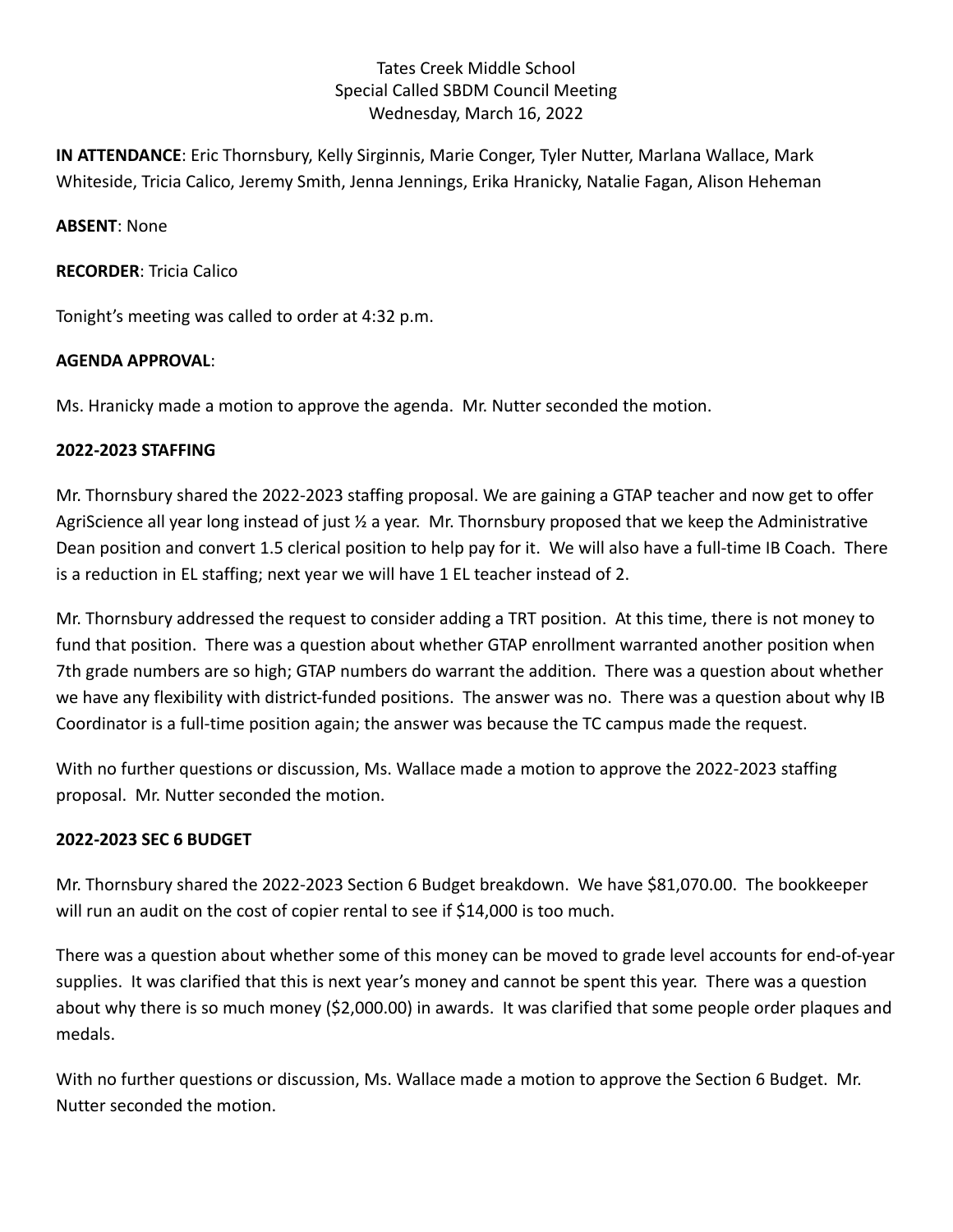# Tates Creek Middle School Special Called SBDM Council Meeting Wednesday, March 16, 2022

**IN ATTENDANCE**: Eric Thornsbury, Kelly Sirginnis, Marie Conger, Tyler Nutter, Marlana Wallace, Mark Whiteside, Tricia Calico, Jeremy Smith, Jenna Jennings, Erika Hranicky, Natalie Fagan, Alison Heheman

**ABSENT**: None

**RECORDER**: Tricia Calico

Tonight's meeting was called to order at 4:32 p.m.

## **AGENDA APPROVAL**:

Ms. Hranicky made a motion to approve the agenda. Mr. Nutter seconded the motion.

## **2022-2023 STAFFING**

Mr. Thornsbury shared the 2022-2023 staffing proposal. We are gaining a GTAP teacher and now get to offer AgriScience all year long instead of just ½ a year. Mr. Thornsbury proposed that we keep the Administrative Dean position and convert 1.5 clerical position to help pay for it. We will also have a full-time IB Coach. There is a reduction in EL staffing; next year we will have 1 EL teacher instead of 2.

Mr. Thornsbury addressed the request to consider adding a TRT position. At this time, there is not money to fund that position. There was a question about whether GTAP enrollment warranted another position when 7th grade numbers are so high; GTAP numbers do warrant the addition. There was a question about whether we have any flexibility with district-funded positions. The answer was no. There was a question about why IB Coordinator is a full-time position again; the answer was because the TC campus made the request.

With no further questions or discussion, Ms. Wallace made a motion to approve the 2022-2023 staffing proposal. Mr. Nutter seconded the motion.

#### **2022-2023 SEC 6 BUDGET**

Mr. Thornsbury shared the 2022-2023 Section 6 Budget breakdown. We have \$81,070.00. The bookkeeper will run an audit on the cost of copier rental to see if \$14,000 is too much.

There was a question about whether some of this money can be moved to grade level accounts for end-of-year supplies. It was clarified that this is next year's money and cannot be spent this year. There was a question about why there is so much money (\$2,000.00) in awards. It was clarified that some people order plaques and medals.

With no further questions or discussion, Ms. Wallace made a motion to approve the Section 6 Budget. Mr. Nutter seconded the motion.